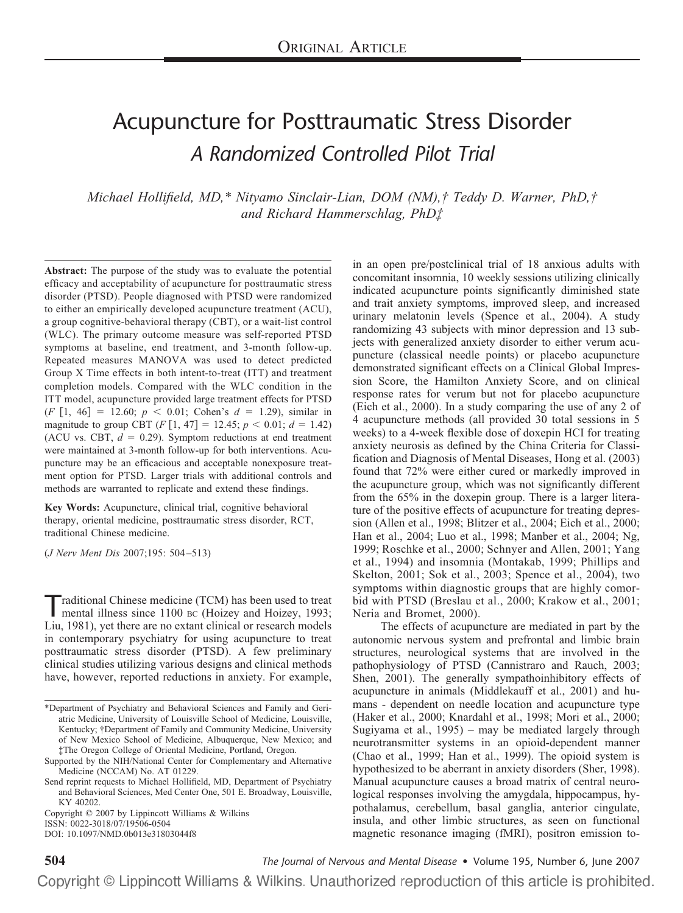# Acupuncture for Posttraumatic Stress Disorder *A Randomized Controlled Pilot Trial*

*Michael Hollifield, MD,\* Nityamo Sinclair-Lian, DOM (NM),† Teddy D. Warner, PhD,† and Richard Hammerschlag, PhD‡*

**Abstract:** The purpose of the study was to evaluate the potential efficacy and acceptability of acupuncture for posttraumatic stress disorder (PTSD). People diagnosed with PTSD were randomized to either an empirically developed acupuncture treatment (ACU), a group cognitive-behavioral therapy (CBT), or a wait-list control (WLC). The primary outcome measure was self-reported PTSD symptoms at baseline, end treatment, and 3-month follow-up. Repeated measures MANOVA was used to detect predicted Group X Time effects in both intent-to-treat (ITT) and treatment completion models. Compared with the WLC condition in the ITT model, acupuncture provided large treatment effects for PTSD  $(F [1, 46] = 12.60; p < 0.01;$  Cohen's  $d = 1.29$ ), similar in magnitude to group CBT  $(F [1, 47] = 12.45; p < 0.01; d = 1.42)$ (ACU vs. CBT,  $d = 0.29$ ). Symptom reductions at end treatment were maintained at 3-month follow-up for both interventions. Acupuncture may be an efficacious and acceptable nonexposure treatment option for PTSD. Larger trials with additional controls and methods are warranted to replicate and extend these findings.

**Key Words:** Acupuncture, clinical trial, cognitive behavioral therapy, oriental medicine, posttraumatic stress disorder, RCT, traditional Chinese medicine.

(*J Nerv Ment Dis* 2007;195: 504 –513)

Traditional Chinese medicine (TCM) has been used to treat<br>mental illness since 1100 BC (Hoizey and Hoizey, 1993; Liu, 1981), yet there are no extant clinical or research models in contemporary psychiatry for using acupuncture to treat posttraumatic stress disorder (PTSD). A few preliminary clinical studies utilizing various designs and clinical methods have, however, reported reductions in anxiety. For example,

Copyright © 2007 by Lippincott Williams & Wilkins ISSN: 0022-3018/07/19506-0504 DOI: 10.1097/NMD.0b013e31803044f8

in an open pre/postclinical trial of 18 anxious adults with concomitant insomnia, 10 weekly sessions utilizing clinically indicated acupuncture points significantly diminished state and trait anxiety symptoms, improved sleep, and increased urinary melatonin levels (Spence et al., 2004). A study randomizing 43 subjects with minor depression and 13 subjects with generalized anxiety disorder to either verum acupuncture (classical needle points) or placebo acupuncture demonstrated significant effects on a Clinical Global Impression Score, the Hamilton Anxiety Score, and on clinical response rates for verum but not for placebo acupuncture (Eich et al., 2000). In a study comparing the use of any 2 of 4 acupuncture methods (all provided 30 total sessions in 5 weeks) to a 4-week flexible dose of doxepin HCI for treating anxiety neurosis as defined by the China Criteria for Classification and Diagnosis of Mental Diseases, Hong et al. (2003) found that 72% were either cured or markedly improved in the acupuncture group, which was not significantly different from the 65% in the doxepin group. There is a larger literature of the positive effects of acupuncture for treating depression (Allen et al., 1998; Blitzer et al., 2004; Eich et al., 2000; Han et al., 2004; Luo et al., 1998; Manber et al., 2004; Ng, 1999; Roschke et al., 2000; Schnyer and Allen, 2001; Yang et al., 1994) and insomnia (Montakab, 1999; Phillips and Skelton, 2001; Sok et al., 2003; Spence et al., 2004), two symptoms within diagnostic groups that are highly comorbid with PTSD (Breslau et al., 2000; Krakow et al., 2001; Neria and Bromet, 2000).

The effects of acupuncture are mediated in part by the autonomic nervous system and prefrontal and limbic brain structures, neurological systems that are involved in the pathophysiology of PTSD (Cannistraro and Rauch, 2003; Shen, 2001). The generally sympathoinhibitory effects of acupuncture in animals (Middlekauff et al., 2001) and humans - dependent on needle location and acupuncture type (Haker et al., 2000; Knardahl et al., 1998; Mori et al., 2000; Sugiyama et al., 1995) – may be mediated largely through neurotransmitter systems in an opioid-dependent manner (Chao et al., 1999; Han et al., 1999). The opioid system is hypothesized to be aberrant in anxiety disorders (Sher, 1998). Manual acupuncture causes a broad matrix of central neurological responses involving the amygdala, hippocampus, hypothalamus, cerebellum, basal ganglia, anterior cingulate, insula, and other limbic structures, as seen on functional magnetic resonance imaging (fMRI), positron emission to-

**504** *The Journal of Nervous and Mental Disease* • Volume 195, Number 6, June 2007

<sup>\*</sup>Department of Psychiatry and Behavioral Sciences and Family and Geriatric Medicine, University of Louisville School of Medicine, Louisville, Kentucky; †Department of Family and Community Medicine, University of New Mexico School of Medicine, Albuquerque, New Mexico; and ‡The Oregon College of Oriental Medicine, Portland, Oregon.

Supported by the NIH/National Center for Complementary and Alternative Medicine (NCCAM) No. AT 01229.

Send reprint requests to Michael Hollifield, MD, Department of Psychiatry and Behavioral Sciences, Med Center One, 501 E. Broadway, Louisville, KY 40202.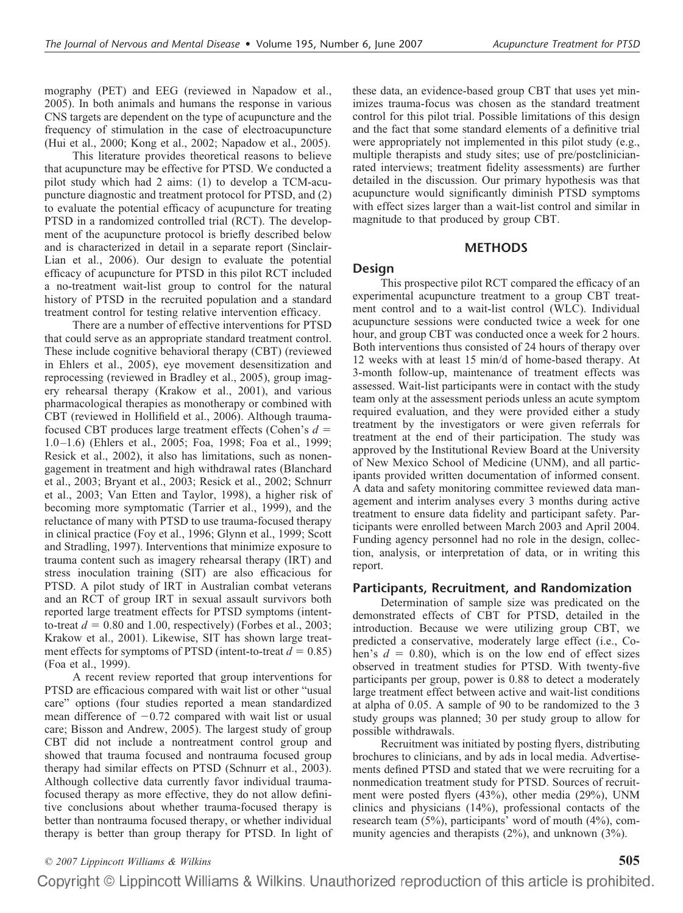mography (PET) and EEG (reviewed in Napadow et al., 2005). In both animals and humans the response in various CNS targets are dependent on the type of acupuncture and the frequency of stimulation in the case of electroacupuncture (Hui et al., 2000; Kong et al., 2002; Napadow et al., 2005).

This literature provides theoretical reasons to believe that acupuncture may be effective for PTSD. We conducted a pilot study which had 2 aims: (1) to develop a TCM-acupuncture diagnostic and treatment protocol for PTSD, and (2) to evaluate the potential efficacy of acupuncture for treating PTSD in a randomized controlled trial (RCT). The development of the acupuncture protocol is briefly described below and is characterized in detail in a separate report (Sinclair-Lian et al., 2006). Our design to evaluate the potential efficacy of acupuncture for PTSD in this pilot RCT included a no-treatment wait-list group to control for the natural history of PTSD in the recruited population and a standard treatment control for testing relative intervention efficacy.

There are a number of effective interventions for PTSD that could serve as an appropriate standard treatment control. These include cognitive behavioral therapy (CBT) (reviewed in Ehlers et al., 2005), eye movement desensitization and reprocessing (reviewed in Bradley et al., 2005), group imagery rehearsal therapy (Krakow et al., 2001), and various pharmacological therapies as monotherapy or combined with CBT (reviewed in Hollifield et al., 2006). Although traumafocused CBT produces large treatment effects (Cohen's *d* 1.0 –1.6) (Ehlers et al., 2005; Foa, 1998; Foa et al., 1999; Resick et al., 2002), it also has limitations, such as nonengagement in treatment and high withdrawal rates (Blanchard et al., 2003; Bryant et al., 2003; Resick et al., 2002; Schnurr et al., 2003; Van Etten and Taylor, 1998), a higher risk of becoming more symptomatic (Tarrier et al., 1999), and the reluctance of many with PTSD to use trauma-focused therapy in clinical practice (Foy et al., 1996; Glynn et al., 1999; Scott and Stradling, 1997). Interventions that minimize exposure to trauma content such as imagery rehearsal therapy (IRT) and stress inoculation training (SIT) are also efficacious for PTSD. A pilot study of IRT in Australian combat veterans and an RCT of group IRT in sexual assault survivors both reported large treatment effects for PTSD symptoms (intentto-treat  $d = 0.80$  and 1.00, respectively) (Forbes et al., 2003; Krakow et al., 2001). Likewise, SIT has shown large treatment effects for symptoms of PTSD (intent-to-treat  $d = 0.85$ ) (Foa et al., 1999).

A recent review reported that group interventions for PTSD are efficacious compared with wait list or other "usual care" options (four studies reported a mean standardized mean difference of  $-0.72$  compared with wait list or usual care; Bisson and Andrew, 2005). The largest study of group CBT did not include a nontreatment control group and showed that trauma focused and nontrauma focused group therapy had similar effects on PTSD (Schnurr et al., 2003). Although collective data currently favor individual traumafocused therapy as more effective, they do not allow definitive conclusions about whether trauma-focused therapy is better than nontrauma focused therapy, or whether individual therapy is better than group therapy for PTSD. In light of these data, an evidence-based group CBT that uses yet minimizes trauma-focus was chosen as the standard treatment control for this pilot trial. Possible limitations of this design and the fact that some standard elements of a definitive trial were appropriately not implemented in this pilot study (e.g., multiple therapists and study sites; use of pre/postclinicianrated interviews; treatment fidelity assessments) are further detailed in the discussion. Our primary hypothesis was that acupuncture would significantly diminish PTSD symptoms with effect sizes larger than a wait-list control and similar in magnitude to that produced by group CBT.

#### **METHODS**

#### **Design**

This prospective pilot RCT compared the efficacy of an experimental acupuncture treatment to a group CBT treatment control and to a wait-list control (WLC). Individual acupuncture sessions were conducted twice a week for one hour, and group CBT was conducted once a week for 2 hours. Both interventions thus consisted of 24 hours of therapy over 12 weeks with at least 15 min/d of home-based therapy. At 3-month follow-up, maintenance of treatment effects was assessed. Wait-list participants were in contact with the study team only at the assessment periods unless an acute symptom required evaluation, and they were provided either a study treatment by the investigators or were given referrals for treatment at the end of their participation. The study was approved by the Institutional Review Board at the University of New Mexico School of Medicine (UNM), and all participants provided written documentation of informed consent. A data and safety monitoring committee reviewed data management and interim analyses every 3 months during active treatment to ensure data fidelity and participant safety. Participants were enrolled between March 2003 and April 2004. Funding agency personnel had no role in the design, collection, analysis, or interpretation of data, or in writing this report.

#### **Participants, Recruitment, and Randomization**

Determination of sample size was predicated on the demonstrated effects of CBT for PTSD, detailed in the introduction. Because we were utilizing group CBT, we predicted a conservative, moderately large effect (i.e., Cohen's  $d = 0.80$ , which is on the low end of effect sizes observed in treatment studies for PTSD. With twenty-five participants per group, power is 0.88 to detect a moderately large treatment effect between active and wait-list conditions at alpha of 0.05. A sample of 90 to be randomized to the 3 study groups was planned; 30 per study group to allow for possible withdrawals.

Recruitment was initiated by posting flyers, distributing brochures to clinicians, and by ads in local media. Advertisements defined PTSD and stated that we were recruiting for a nonmedication treatment study for PTSD. Sources of recruitment were posted flyers (43%), other media (29%), UNM clinics and physicians (14%), professional contacts of the research team (5%), participants' word of mouth (4%), community agencies and therapists (2%), and unknown (3%).

*© 2007 Lippincott Williams & Wilkins* **505**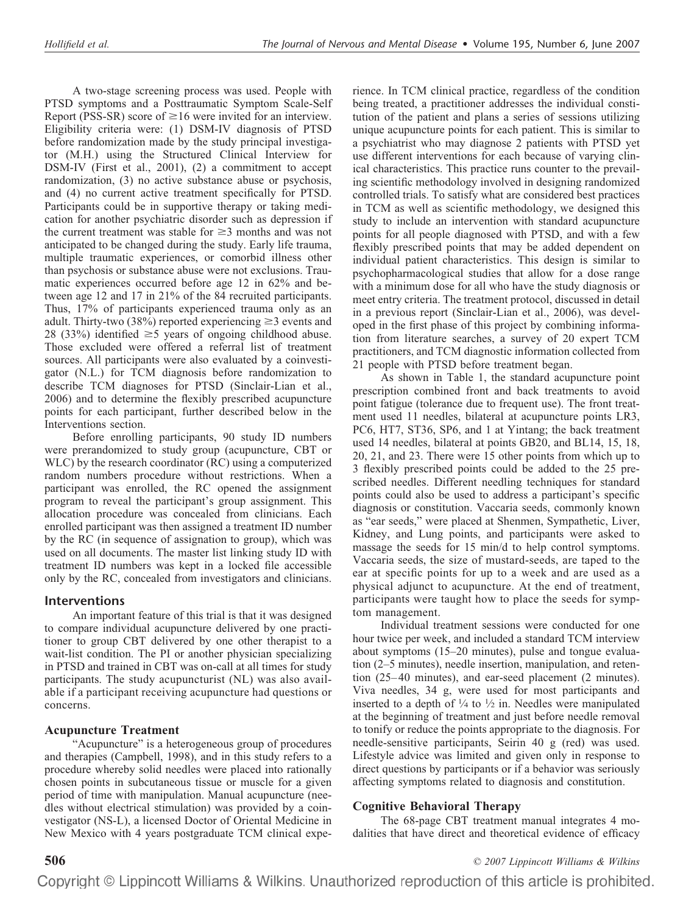A two-stage screening process was used. People with PTSD symptoms and a Posttraumatic Symptom Scale-Self Report (PSS-SR) score of  $\geq 16$  were invited for an interview. Eligibility criteria were: (1) DSM-IV diagnosis of PTSD before randomization made by the study principal investigator (M.H.) using the Structured Clinical Interview for DSM-IV (First et al., 2001), (2) a commitment to accept randomization, (3) no active substance abuse or psychosis, and (4) no current active treatment specifically for PTSD. Participants could be in supportive therapy or taking medication for another psychiatric disorder such as depression if the current treatment was stable for  $\geq$ 3 months and was not anticipated to be changed during the study. Early life trauma, multiple traumatic experiences, or comorbid illness other than psychosis or substance abuse were not exclusions. Traumatic experiences occurred before age 12 in 62% and between age 12 and 17 in 21% of the 84 recruited participants. Thus, 17% of participants experienced trauma only as an adult. Thirty-two (38%) reported experiencing  $\geq$ 3 events and 28 (33%) identified  $\geq$  5 years of ongoing childhood abuse. Those excluded were offered a referral list of treatment sources. All participants were also evaluated by a coinvestigator (N.L.) for TCM diagnosis before randomization to describe TCM diagnoses for PTSD (Sinclair-Lian et al., 2006) and to determine the flexibly prescribed acupuncture points for each participant, further described below in the Interventions section.

Before enrolling participants, 90 study ID numbers were prerandomized to study group (acupuncture, CBT or WLC) by the research coordinator (RC) using a computerized random numbers procedure without restrictions. When a participant was enrolled, the RC opened the assignment program to reveal the participant's group assignment. This allocation procedure was concealed from clinicians. Each enrolled participant was then assigned a treatment ID number by the RC (in sequence of assignation to group), which was used on all documents. The master list linking study ID with treatment ID numbers was kept in a locked file accessible only by the RC, concealed from investigators and clinicians.

### **Interventions**

An important feature of this trial is that it was designed to compare individual acupuncture delivered by one practitioner to group CBT delivered by one other therapist to a wait-list condition. The PI or another physician specializing in PTSD and trained in CBT was on-call at all times for study participants. The study acupuncturist (NL) was also available if a participant receiving acupuncture had questions or concerns.

### **Acupuncture Treatment**

"Acupuncture" is a heterogeneous group of procedures and therapies (Campbell, 1998), and in this study refers to a procedure whereby solid needles were placed into rationally chosen points in subcutaneous tissue or muscle for a given period of time with manipulation. Manual acupuncture (needles without electrical stimulation) was provided by a coinvestigator (NS-L), a licensed Doctor of Oriental Medicine in New Mexico with 4 years postgraduate TCM clinical experience. In TCM clinical practice, regardless of the condition being treated, a practitioner addresses the individual constitution of the patient and plans a series of sessions utilizing unique acupuncture points for each patient. This is similar to a psychiatrist who may diagnose 2 patients with PTSD yet use different interventions for each because of varying clinical characteristics. This practice runs counter to the prevailing scientific methodology involved in designing randomized controlled trials. To satisfy what are considered best practices in TCM as well as scientific methodology, we designed this study to include an intervention with standard acupuncture points for all people diagnosed with PTSD, and with a few flexibly prescribed points that may be added dependent on individual patient characteristics. This design is similar to psychopharmacological studies that allow for a dose range with a minimum dose for all who have the study diagnosis or meet entry criteria. The treatment protocol, discussed in detail in a previous report (Sinclair-Lian et al., 2006), was developed in the first phase of this project by combining information from literature searches, a survey of 20 expert TCM practitioners, and TCM diagnostic information collected from 21 people with PTSD before treatment began.

As shown in Table 1, the standard acupuncture point prescription combined front and back treatments to avoid point fatigue (tolerance due to frequent use). The front treatment used 11 needles, bilateral at acupuncture points LR3, PC6, HT7, ST36, SP6, and 1 at Yintang; the back treatment used 14 needles, bilateral at points GB20, and BL14, 15, 18, 20, 21, and 23. There were 15 other points from which up to 3 flexibly prescribed points could be added to the 25 prescribed needles. Different needling techniques for standard points could also be used to address a participant's specific diagnosis or constitution. Vaccaria seeds, commonly known as "ear seeds," were placed at Shenmen, Sympathetic, Liver, Kidney, and Lung points, and participants were asked to massage the seeds for 15 min/d to help control symptoms. Vaccaria seeds, the size of mustard-seeds, are taped to the ear at specific points for up to a week and are used as a physical adjunct to acupuncture. At the end of treatment, participants were taught how to place the seeds for symptom management.

Individual treatment sessions were conducted for one hour twice per week, and included a standard TCM interview about symptoms (15–20 minutes), pulse and tongue evaluation (2–5 minutes), needle insertion, manipulation, and retention (25– 40 minutes), and ear-seed placement (2 minutes). Viva needles, 34 g, were used for most participants and inserted to a depth of  $\frac{1}{4}$  to  $\frac{1}{2}$  in. Needles were manipulated at the beginning of treatment and just before needle removal to tonify or reduce the points appropriate to the diagnosis. For needle-sensitive participants, Seirin 40 g (red) was used. Lifestyle advice was limited and given only in response to direct questions by participants or if a behavior was seriously affecting symptoms related to diagnosis and constitution.

# **Cognitive Behavioral Therapy**

The 68-page CBT treatment manual integrates 4 modalities that have direct and theoretical evidence of efficacy

#### **506** *© 2007 Lippincott Williams & Wilkins*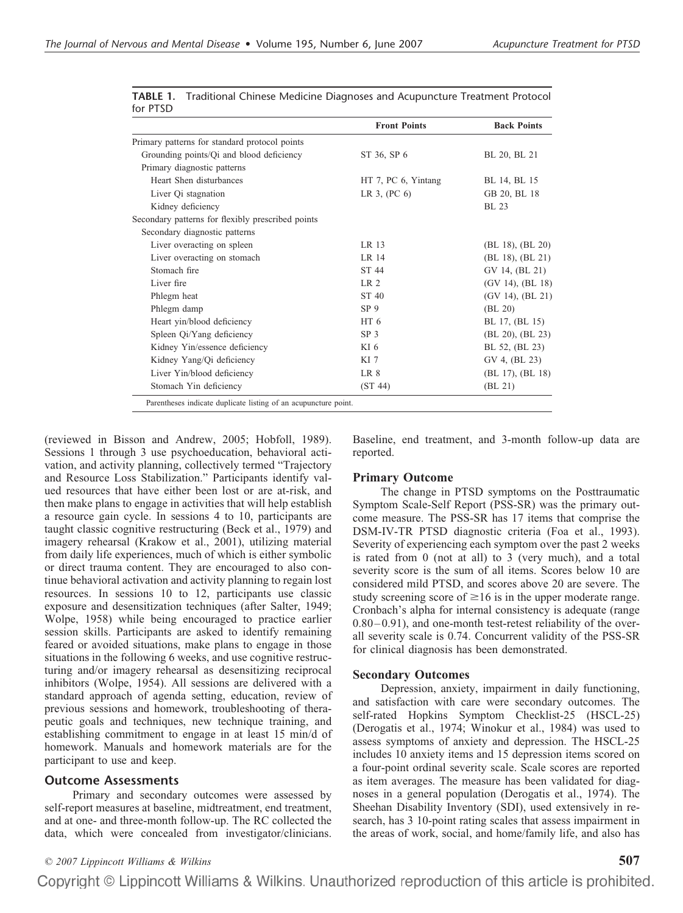|                                                                 | <b>Front Points</b> | <b>Back Points</b>    |
|-----------------------------------------------------------------|---------------------|-----------------------|
| Primary patterns for standard protocol points                   |                     |                       |
| Grounding points/Qi and blood deficiency                        | ST 36, SP 6         | BL 20, BL 21          |
| Primary diagnostic patterns                                     |                     |                       |
| Heart Shen disturbances                                         | HT 7, PC 6, Yintang | BL 14, BL 15          |
| Liver Qi stagnation                                             | $LR$ 3, (PC 6)      | GB 20, BL 18          |
| Kidney deficiency                                               |                     | BL 23                 |
| Secondary patterns for flexibly prescribed points               |                     |                       |
| Secondary diagnostic patterns                                   |                     |                       |
| Liver overacting on spleen                                      | LR 13               | $(BL 18)$ , $(BL 20)$ |
| Liver overacting on stomach                                     | <b>LR 14</b>        | $(BL 18)$ , $(BL 21)$ |
| Stomach fire                                                    | <b>ST 44</b>        | GV 14, (BL 21)        |
| Liver fire                                                      | LR <sub>2</sub>     | $(GV 14)$ , $(BL 18)$ |
| Phlegm heat                                                     | ST 40               | (GV 14), (BL 21)      |
| Phlegm damp                                                     | SP <sub>9</sub>     | (BL 20)               |
| Heart yin/blood deficiency                                      | HT <sub>6</sub>     | BL 17, (BL 15)        |
| Spleen Qi/Yang deficiency                                       | SP <sub>3</sub>     | $(BL 20)$ , $(BL 23)$ |
| Kidney Yin/essence deficiency                                   | KI6                 | BL 52, (BL 23)        |
| Kidney Yang/Qi deficiency                                       | KI 7                | GV 4, (BL 23)         |
| Liver Yin/blood deficiency                                      | LR 8                | $(BL 17)$ , $(BL 18)$ |
| Stomach Yin deficiency                                          | (ST 44)             | (BL 21)               |
| Parentheses indicate duplicate listing of an acupuncture point. |                     |                       |

|          | TABLE 1. Traditional Chinese Medicine Diagnoses and Acupuncture Treatment Protocol |  |
|----------|------------------------------------------------------------------------------------|--|
| for PTSD |                                                                                    |  |

(reviewed in Bisson and Andrew, 2005; Hobfoll, 1989). Sessions 1 through 3 use psychoeducation, behavioral activation, and activity planning, collectively termed "Trajectory and Resource Loss Stabilization." Participants identify valued resources that have either been lost or are at-risk, and then make plans to engage in activities that will help establish a resource gain cycle. In sessions 4 to 10, participants are taught classic cognitive restructuring (Beck et al., 1979) and imagery rehearsal (Krakow et al., 2001), utilizing material from daily life experiences, much of which is either symbolic or direct trauma content. They are encouraged to also continue behavioral activation and activity planning to regain lost resources. In sessions 10 to 12, participants use classic exposure and desensitization techniques (after Salter, 1949; Wolpe, 1958) while being encouraged to practice earlier session skills. Participants are asked to identify remaining feared or avoided situations, make plans to engage in those situations in the following 6 weeks, and use cognitive restructuring and/or imagery rehearsal as desensitizing reciprocal inhibitors (Wolpe, 1954). All sessions are delivered with a standard approach of agenda setting, education, review of previous sessions and homework, troubleshooting of therapeutic goals and techniques, new technique training, and establishing commitment to engage in at least 15 min/d of homework. Manuals and homework materials are for the participant to use and keep.

#### **Outcome Assessments**

Primary and secondary outcomes were assessed by self-report measures at baseline, midtreatment, end treatment, and at one- and three-month follow-up. The RC collected the data, which were concealed from investigator/clinicians.

Baseline, end treatment, and 3-month follow-up data are reported.

#### **Primary Outcome**

The change in PTSD symptoms on the Posttraumatic Symptom Scale-Self Report (PSS-SR) was the primary outcome measure. The PSS-SR has 17 items that comprise the DSM-IV-TR PTSD diagnostic criteria (Foa et al., 1993). Severity of experiencing each symptom over the past 2 weeks is rated from 0 (not at all) to 3 (very much), and a total severity score is the sum of all items. Scores below 10 are considered mild PTSD, and scores above 20 are severe. The study screening score of  $\geq 16$  is in the upper moderate range. Cronbach's alpha for internal consistency is adequate (range  $0.80 - 0.91$ , and one-month test-retest reliability of the overall severity scale is 0.74. Concurrent validity of the PSS-SR for clinical diagnosis has been demonstrated.

#### **Secondary Outcomes**

Depression, anxiety, impairment in daily functioning, and satisfaction with care were secondary outcomes. The self-rated Hopkins Symptom Checklist-25 (HSCL-25) (Derogatis et al., 1974; Winokur et al., 1984) was used to assess symptoms of anxiety and depression. The HSCL-25 includes 10 anxiety items and 15 depression items scored on a four-point ordinal severity scale. Scale scores are reported as item averages. The measure has been validated for diagnoses in a general population (Derogatis et al., 1974). The Sheehan Disability Inventory (SDI), used extensively in research, has 3 10-point rating scales that assess impairment in the areas of work, social, and home/family life, and also has

## *© 2007 Lippincott Williams & Wilkins* **507**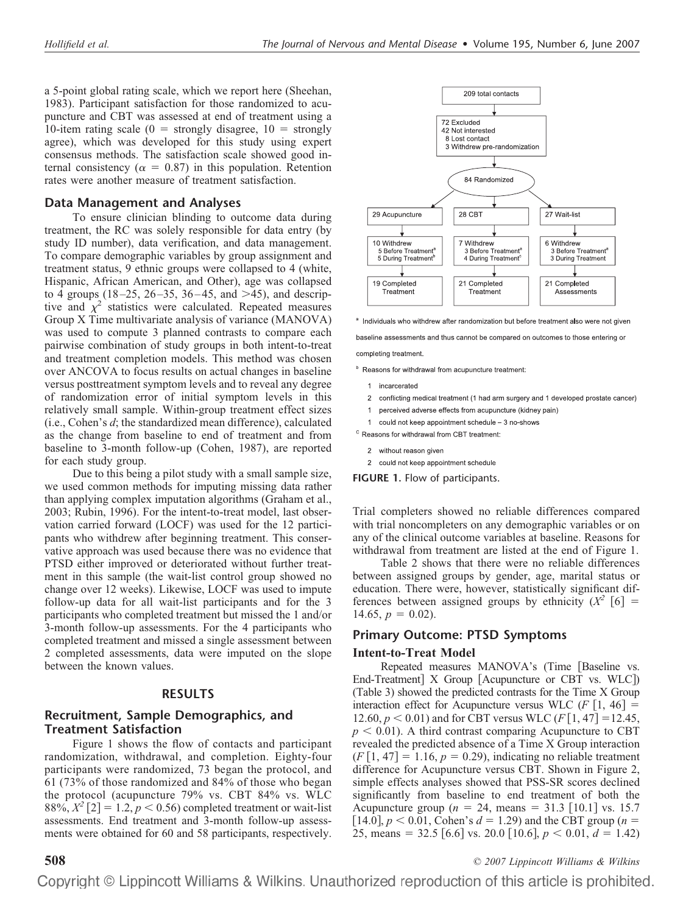a 5-point global rating scale, which we report here (Sheehan, 1983). Participant satisfaction for those randomized to acupuncture and CBT was assessed at end of treatment using a 10-item rating scale ( $0 =$  strongly disagree,  $10 =$  strongly agree), which was developed for this study using expert consensus methods. The satisfaction scale showed good internal consistency ( $\alpha = 0.87$ ) in this population. Retention rates were another measure of treatment satisfaction.

#### **Data Management and Analyses**

To ensure clinician blinding to outcome data during treatment, the RC was solely responsible for data entry (by study ID number), data verification, and data management. To compare demographic variables by group assignment and treatment status, 9 ethnic groups were collapsed to 4 (white, Hispanic, African American, and Other), age was collapsed to 4 groups  $(18-25, 26-35, 36-45,$  and  $>45$ ), and descriptive and  $\chi^2$  statistics were calculated. Repeated measures Group X Time multivariate analysis of variance (MANOVA) was used to compute 3 planned contrasts to compare each pairwise combination of study groups in both intent-to-treat and treatment completion models. This method was chosen over ANCOVA to focus results on actual changes in baseline versus posttreatment symptom levels and to reveal any degree of randomization error of initial symptom levels in this relatively small sample. Within-group treatment effect sizes (i.e., Cohen's *d*; the standardized mean difference), calculated as the change from baseline to end of treatment and from baseline to 3-month follow-up (Cohen, 1987), are reported for each study group.

Due to this being a pilot study with a small sample size, we used common methods for imputing missing data rather than applying complex imputation algorithms (Graham et al., 2003; Rubin, 1996). For the intent-to-treat model, last observation carried forward (LOCF) was used for the 12 participants who withdrew after beginning treatment. This conservative approach was used because there was no evidence that PTSD either improved or deteriorated without further treatment in this sample (the wait-list control group showed no change over 12 weeks). Likewise, LOCF was used to impute follow-up data for all wait-list participants and for the 3 participants who completed treatment but missed the 1 and/or 3-month follow-up assessments. For the 4 participants who completed treatment and missed a single assessment between 2 completed assessments, data were imputed on the slope between the known values.

### **RESULTS**

# **Recruitment, Sample Demographics, and Treatment Satisfaction**

Figure 1 shows the flow of contacts and participant randomization, withdrawal, and completion. Eighty-four participants were randomized, 73 began the protocol, and 61 (73% of those randomized and 84% of those who began the protocol (acupuncture 79% vs. CBT 84% vs. WLC  $88\%, X^2[2] = 1.2, p < 0.56$ ) completed treatment or wait-list assessments. End treatment and 3-month follow-up assessments were obtained for 60 and 58 participants, respectively.



<sup>a</sup> Individuals who withdrew after randomization but before treatment also were not given baseline assessments and thus cannot be compared on outcomes to those entering or

completing treatment.

<sup>b</sup> Reasons for withdrawal from acupuncture treatment:

1 incarcerated

- 2 conflicting medical treatment (1 had arm surgery and 1 developed prostate cancer)
- 1 perceived adverse effects from acupuncture (kidney pain)
- 1 could not keep appointment schedule 3 no-shows
- <sup>C</sup> Reasons for withdrawal from CBT treatment:
	- 2 without reason given
	- 2 could not keep appointment schedule

**FIGURE 1.** Flow of participants.

Trial completers showed no reliable differences compared with trial noncompleters on any demographic variables or on any of the clinical outcome variables at baseline. Reasons for withdrawal from treatment are listed at the end of Figure 1.

Table 2 shows that there were no reliable differences between assigned groups by gender, age, marital status or education. There were, however, statistically significant differences between assigned groups by ethnicity  $(X^2 \ [6] =$ 14.65,  $p = 0.02$ ).

# **Primary Outcome: PTSD Symptoms**

#### **Intent-to-Treat Model**

Repeated measures MANOVA's (Time [Baseline vs. End-Treatment] X Group [Acupuncture or CBT vs. WLC]) (Table 3) showed the predicted contrasts for the Time X Group interaction effect for Acupuncture versus WLC  $(F [1, 46] =$ 12.60,  $p < 0.01$ ) and for CBT versus WLC ( $F[1, 47] = 12.45$ ,  $p < 0.01$ ). A third contrast comparing Acupuncture to CBT revealed the predicted absence of a Time X Group interaction  $(F[1, 47] = 1.16, p = 0.29)$ , indicating no reliable treatment difference for Acupuncture versus CBT. Shown in Figure 2, simple effects analyses showed that PSS-SR scores declined significantly from baseline to end treatment of both the Acupuncture group ( $n = 24$ , means = 31.3 [10.1] vs. 15.7  $[14.0], p < 0.01$ , Cohen's  $d = 1.29$ ) and the CBT group (*n* = 25, means =  $32.5$  [6.6] vs. 20.0 [10.6],  $p < 0.01$ ,  $d = 1.42$ )

**508** *© 2007 Lippincott Williams & Wilkins*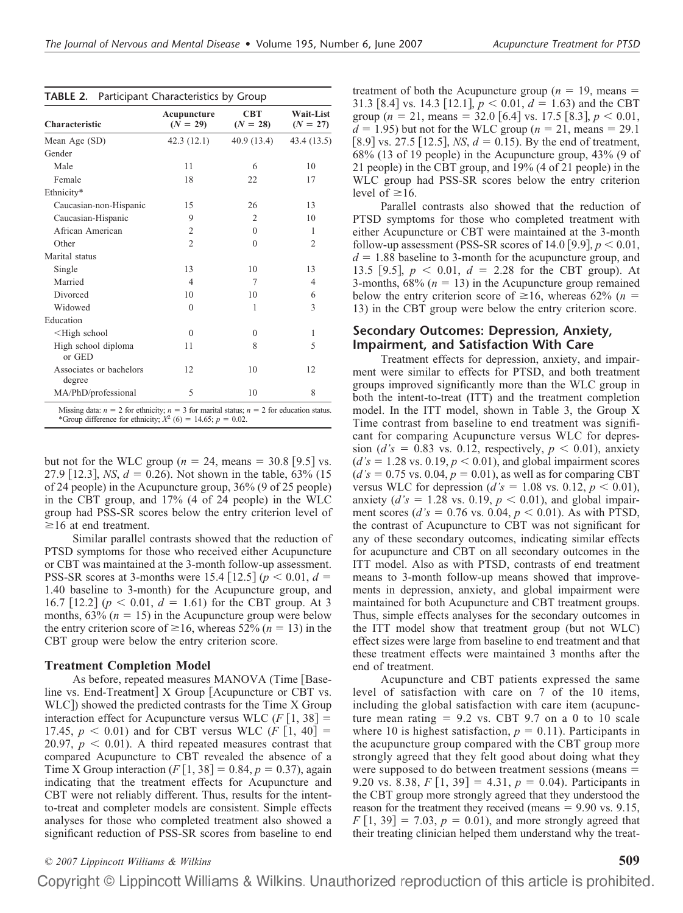|  |  | <b>TABLE 2.</b> Participant Characteristics by Group |  |  |  |
|--|--|------------------------------------------------------|--|--|--|
|--|--|------------------------------------------------------|--|--|--|

| Characteristic                                                                                                                                                     | Acupuncture<br>$(N = 29)$ | <b>CBT</b><br>$(N = 28)$ | Wait-List<br>$(N = 27)$ |
|--------------------------------------------------------------------------------------------------------------------------------------------------------------------|---------------------------|--------------------------|-------------------------|
| Mean Age (SD)                                                                                                                                                      | 42.3(12.1)                | 40.9(13.4)               | 43.4 (13.5)             |
| Gender                                                                                                                                                             |                           |                          |                         |
| Male                                                                                                                                                               | 11                        | 6                        | 10                      |
| Female                                                                                                                                                             | 18                        | 22                       | 17                      |
| Ethnicity*                                                                                                                                                         |                           |                          |                         |
| Caucasian-non-Hispanic                                                                                                                                             | 15                        | 26                       | 13                      |
| Caucasian-Hispanic                                                                                                                                                 | 9                         | $\overline{2}$           | 10                      |
| African American                                                                                                                                                   | $\overline{2}$            | $\Omega$                 | 1                       |
| Other                                                                                                                                                              | $\mathfrak{D}$            | $\Omega$                 | $\overline{2}$          |
| Marital status                                                                                                                                                     |                           |                          |                         |
| Single                                                                                                                                                             | 13                        | 10                       | 13                      |
| Married                                                                                                                                                            | $\overline{4}$            | 7                        | $\overline{4}$          |
| Divorced                                                                                                                                                           | 10                        | 10                       | 6                       |
| Widowed                                                                                                                                                            | $\theta$                  | 1                        | 3                       |
| Education                                                                                                                                                          |                           |                          |                         |
| $\leq$ High school                                                                                                                                                 | $\theta$                  | $\theta$                 | 1                       |
| High school diploma<br>or GED                                                                                                                                      | 11                        | 8                        | 5                       |
| Associates or bachelors<br>degree                                                                                                                                  | 12                        | 10                       | 12                      |
| MA/PhD/professional                                                                                                                                                | 5                         | 10                       | 8                       |
| Missing data: $n = 2$ for ethnicity; $n = 3$ for marital status; $n = 2$ for education status.<br>*Group difference for ethnicity; $X^2$ (6) = 14.65; $p = 0.02$ . |                           |                          |                         |

but not for the WLC group ( $n = 24$ , means  $= 30.8$  [9.5] vs. 27.9 [12.3], *NS*,  $d = 0.26$ ). Not shown in the table, 63% (15 of 24 people) in the Acupuncture group, 36% (9 of 25 people) in the CBT group, and 17% (4 of 24 people) in the WLC group had PSS-SR scores below the entry criterion level of  $\geq 16$  at end treatment.

Similar parallel contrasts showed that the reduction of PTSD symptoms for those who received either Acupuncture or CBT was maintained at the 3-month follow-up assessment. PSS-SR scores at 3-months were 15.4 [12.5]  $(p < 0.01, d =$ 1.40 baseline to 3-month) for the Acupuncture group, and 16.7 [12.2]  $(p < 0.01, d = 1.61)$  for the CBT group. At 3 months,  $63\%$  ( $n = 15$ ) in the Acupuncture group were below the entry criterion score of  $\geq 16$ , whereas 52% ( $n = 13$ ) in the CBT group were below the entry criterion score.

#### **Treatment Completion Model**

As before, repeated measures MANOVA (Time [Baseline vs. End-Treatment] X Group [Acupuncture or CBT vs. WLC]) showed the predicted contrasts for the Time X Group interaction effect for Acupuncture versus WLC  $(F[1, 38])$ 17.45,  $p < 0.01$ ) and for CBT versus WLC (*F* [1, 40] = 20.97,  $p < 0.01$ ). A third repeated measures contrast that compared Acupuncture to CBT revealed the absence of a Time X Group interaction  $(F[1, 38] = 0.84, p = 0.37)$ , again indicating that the treatment effects for Acupuncture and CBT were not reliably different. Thus, results for the intentto-treat and completer models are consistent. Simple effects analyses for those who completed treatment also showed a significant reduction of PSS-SR scores from baseline to end

treatment of both the Acupuncture group ( $n = 19$ , means  $=$ 31.3 [8.4] vs. 14.3 [12.1],  $p < 0.01$ ,  $d = 1.63$ ) and the CBT group ( $n = 21$ , means = 32.0 [6.4] vs. 17.5 [8.3],  $p < 0.01$ ,  $d = 1.95$ ) but not for the WLC group ( $n = 21$ , means = 29.1)  $[8.9]$  vs. 27.5  $[12.5]$ , *NS*,  $d = 0.15$ ). By the end of treatment, 68% (13 of 19 people) in the Acupuncture group, 43% (9 of 21 people) in the CBT group, and 19% (4 of 21 people) in the WLC group had PSS-SR scores below the entry criterion level of  $\geq 16$ .

Parallel contrasts also showed that the reduction of PTSD symptoms for those who completed treatment with either Acupuncture or CBT were maintained at the 3-month follow-up assessment (PSS-SR scores of  $14.0$  [9.9],  $p < 0.01$ ,  $d = 1.88$  baseline to 3-month for the acupuncture group, and 13.5 [9.5],  $p < 0.01$ ,  $d = 2.28$  for the CBT group). At 3-months,  $68\%$  ( $n = 13$ ) in the Acupuncture group remained below the entry criterion score of  $\geq 16$ , whereas 62% (*n* = 13) in the CBT group were below the entry criterion score.

#### **Secondary Outcomes: Depression, Anxiety, Impairment, and Satisfaction With Care**

Treatment effects for depression, anxiety, and impairment were similar to effects for PTSD, and both treatment groups improved significantly more than the WLC group in both the intent-to-treat (ITT) and the treatment completion model. In the ITT model, shown in Table 3, the Group X Time contrast from baseline to end treatment was significant for comparing Acupuncture versus WLC for depression ( $d's = 0.83$  vs. 0.12, respectively,  $p < 0.01$ ), anxiety  $(d's = 1.28 \text{ vs. } 0.19, p < 0.01)$ , and global impairment scores  $(d's = 0.75 \text{ vs. } 0.04, p = 0.01)$ , as well as for comparing CBT versus WLC for depression (*d's* = 1.08 vs. 0.12,  $p < 0.01$ ), anxiety ( $d's = 1.28$  vs. 0.19,  $p < 0.01$ ), and global impairment scores ( $d's = 0.76$  vs. 0.04,  $p < 0.01$ ). As with PTSD, the contrast of Acupuncture to CBT was not significant for any of these secondary outcomes, indicating similar effects for acupuncture and CBT on all secondary outcomes in the ITT model. Also as with PTSD, contrasts of end treatment means to 3-month follow-up means showed that improvements in depression, anxiety, and global impairment were maintained for both Acupuncture and CBT treatment groups. Thus, simple effects analyses for the secondary outcomes in the ITT model show that treatment group (but not WLC) effect sizes were large from baseline to end treatment and that these treatment effects were maintained 3 months after the end of treatment.

Acupuncture and CBT patients expressed the same level of satisfaction with care on 7 of the 10 items, including the global satisfaction with care item (acupuncture mean rating  $= 9.2$  vs. CBT 9.7 on a 0 to 10 scale where 10 is highest satisfaction,  $p = 0.11$ ). Participants in the acupuncture group compared with the CBT group more strongly agreed that they felt good about doing what they were supposed to do between treatment sessions (means 9.20 vs. 8.38,  $F[1, 39] = 4.31$ ,  $p = 0.04$ ). Participants in the CBT group more strongly agreed that they understood the reason for the treatment they received (means  $= 9.90$  vs. 9.15,  $F[1, 39] = 7.03$ ,  $p = 0.01$ ), and more strongly agreed that their treating clinician helped them understand why the treat-

#### *© 2007 Lippincott Williams & Wilkins* **509**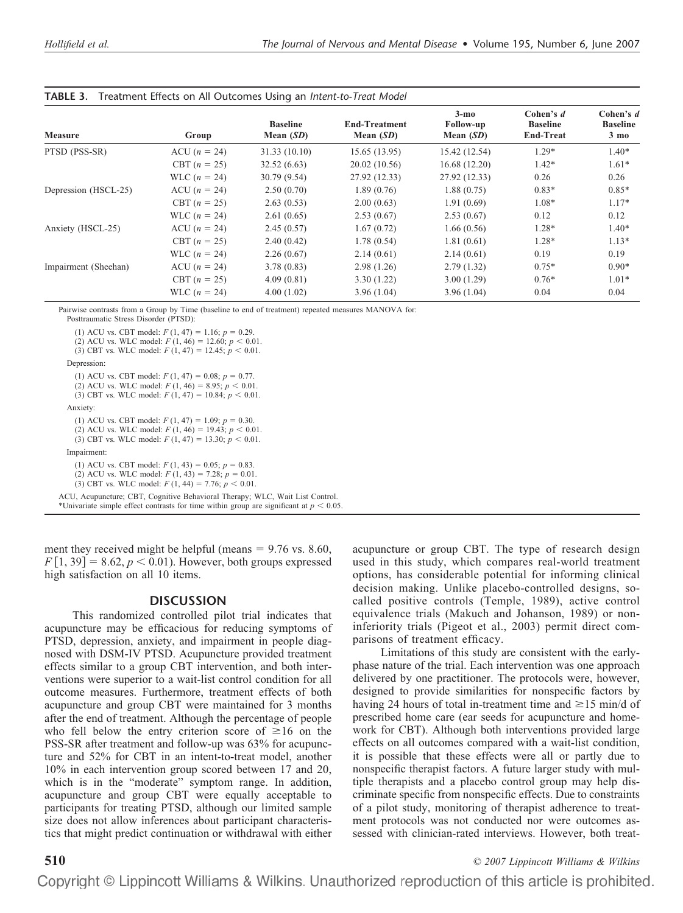|                      |                | ັ                              |                                     | $3-m0$                   | Cohen's d                           | Cohen's a                         |
|----------------------|----------------|--------------------------------|-------------------------------------|--------------------------|-------------------------------------|-----------------------------------|
| Measure              | Group          | <b>Baseline</b><br>Mean $(SD)$ | <b>End-Treatment</b><br>Mean $(SD)$ | Follow-up<br>Mean $(SD)$ | <b>Baseline</b><br><b>End-Treat</b> | <b>Baseline</b><br>$3 \text{ mo}$ |
| PTSD (PSS-SR)        | $ACU (n = 24)$ | 31.33(10.10)                   | 15.65(13.95)                        | 15.42 (12.54)            | $1.29*$                             | $1.40*$                           |
|                      | CBT $(n = 25)$ | 32.52(6.63)                    | 20.02 (10.56)                       | 16.68(12.20)             | $1.42*$                             | $1.61*$                           |
|                      | WLC $(n = 24)$ | 30.79 (9.54)                   | 27.92 (12.33)                       | 27.92 (12.33)            | 0.26                                | 0.26                              |
| Depression (HSCL-25) | $ACU (n = 24)$ | 2.50(0.70)                     | 1.89(0.76)                          | 1.88(0.75)               | $0.83*$                             | $0.85*$                           |
|                      | CBT $(n = 25)$ | 2.63(0.53)                     | 2.00(0.63)                          | 1.91(0.69)               | $1.08*$                             | $1.17*$                           |
|                      | WLC $(n = 24)$ | 2.61(0.65)                     | 2.53(0.67)                          | 2.53(0.67)               | 0.12                                | 0.12                              |
| Anxiety (HSCL-25)    | $ACU (n = 24)$ | 2.45(0.57)                     | 1.67(0.72)                          | 1.66(0.56)               | $1.28*$                             | $1.40*$                           |
|                      | CBT $(n = 25)$ | 2.40(0.42)                     | 1.78(0.54)                          | 1.81(0.61)               | $1.28*$                             | $1.13*$                           |
|                      | WLC $(n = 24)$ | 2.26(0.67)                     | 2.14(0.61)                          | 2.14(0.61)               | 0.19                                | 0.19                              |
| Impairment (Sheehan) | $ACU (n = 24)$ | 3.78(0.83)                     | 2.98(1.26)                          | 2.79(1.32)               | $0.75*$                             | $0.90*$                           |
|                      | CBT $(n = 25)$ | 4.09(0.81)                     | 3.30(1.22)                          | 3.00(1.29)               | $0.76*$                             | $1.01*$                           |
|                      | WLC $(n = 24)$ | 4.00(1.02)                     | 3.96(1.04)                          | 3.96(1.04)               | 0.04                                | 0.04                              |

| <b>TABLE 3.</b> Treatment Effects on All Outcomes Using an Intent-to-Treat Model |  |  |
|----------------------------------------------------------------------------------|--|--|
|                                                                                  |  |  |

Pairwise contrasts from a Group by Time (baseline to end of treatment) repeated measures MANOVA for:

(1) ACU vs. CBT model:  $F(1, 47) = 1.16$ ;  $p = 0.29$ . (2) ACU vs. WLC model:  $F(1, 46) = 12.60$ ;  $p < 0.01$ . (3) CBT vs. WLC model:  $F(1, 47) = 12.45$ ;  $p < 0.01$ . Depression: (1) ACU vs. CBT model:  $F(1, 47) = 0.08$ ;  $p = 0.77$ . (2) ACU vs. WLC model:  $F(1, 46) = 8.95$ ;  $p < 0.01$ . (3) CBT vs. WLC model:  $F(1, 47) = 10.84$ ;  $p < 0.01$ . Anxiety: (1) ACU vs. CBT model:  $F(1, 47) = 1.09$ ;  $p = 0.30$ . (2) ACU vs. WLC model:  $F(1, 46) = 19.43$ ;  $p < 0.01$ . (3) CBT vs. WLC model:  $F(1, 47) = 13.30$ ;  $p < 0.01$ . Impairment: (1) ACU vs. CBT model:  $F(1, 43) = 0.05$ ;  $p = 0.83$ . (2) ACU vs. WLC model:  $F(1, 43) = 7.28$ ;  $p = 0.01$ . (3) CBT vs. WLC model:  $F(1, 44) = 7.76$ ;  $p < 0.01$ . ACU, Acupuncture; CBT, Cognitive Behavioral Therapy; WLC, Wait List Control. \*Univariate simple effect contrasts for time within group are significant at  $p < 0.05$ .

ment they received might be helpful (means  $= 9.76$  vs. 8.60,  $F[1, 39] = 8.62, p < 0.01$ . However, both groups expressed high satisfaction on all 10 items.

#### **DISCUSSION**

This randomized controlled pilot trial indicates that acupuncture may be efficacious for reducing symptoms of PTSD, depression, anxiety, and impairment in people diagnosed with DSM-IV PTSD. Acupuncture provided treatment effects similar to a group CBT intervention, and both interventions were superior to a wait-list control condition for all outcome measures. Furthermore, treatment effects of both acupuncture and group CBT were maintained for 3 months after the end of treatment. Although the percentage of people who fell below the entry criterion score of  $\geq 16$  on the PSS-SR after treatment and follow-up was 63% for acupuncture and 52% for CBT in an intent-to-treat model, another 10% in each intervention group scored between 17 and 20, which is in the "moderate" symptom range. In addition, acupuncture and group CBT were equally acceptable to participants for treating PTSD, although our limited sample size does not allow inferences about participant characteristics that might predict continuation or withdrawal with either

acupuncture or group CBT. The type of research design used in this study, which compares real-world treatment options, has considerable potential for informing clinical decision making. Unlike placebo-controlled designs, socalled positive controls (Temple, 1989), active control equivalence trials (Makuch and Johanson, 1989) or noninferiority trials (Pigeot et al., 2003) permit direct comparisons of treatment efficacy.

Limitations of this study are consistent with the earlyphase nature of the trial. Each intervention was one approach delivered by one practitioner. The protocols were, however, designed to provide similarities for nonspecific factors by having 24 hours of total in-treatment time and  $\geq 15$  min/d of prescribed home care (ear seeds for acupuncture and homework for CBT). Although both interventions provided large effects on all outcomes compared with a wait-list condition, it is possible that these effects were all or partly due to nonspecific therapist factors. A future larger study with multiple therapists and a placebo control group may help discriminate specific from nonspecific effects. Due to constraints of a pilot study, monitoring of therapist adherence to treatment protocols was not conducted nor were outcomes assessed with clinician-rated interviews. However, both treat-

**510** *© 2007 Lippincott Williams & Wilkins*

Posttraumatic Stress Disorder (PTSD):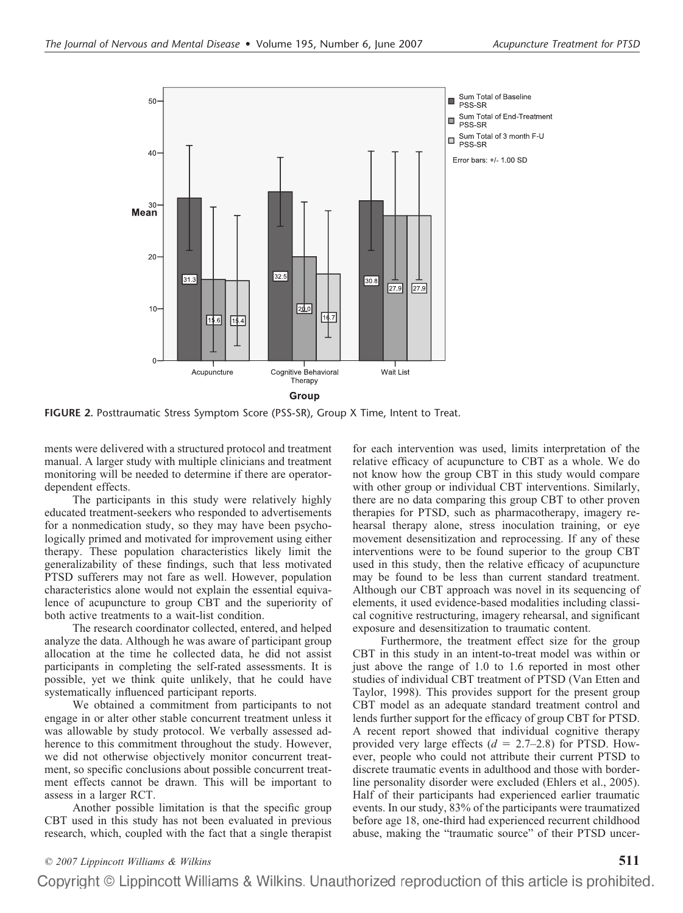

**FIGURE 2.** Posttraumatic Stress Symptom Score (PSS-SR), Group X Time, Intent to Treat.

ments were delivered with a structured protocol and treatment manual. A larger study with multiple clinicians and treatment monitoring will be needed to determine if there are operatordependent effects.

The participants in this study were relatively highly educated treatment-seekers who responded to advertisements for a nonmedication study, so they may have been psychologically primed and motivated for improvement using either therapy. These population characteristics likely limit the generalizability of these findings, such that less motivated PTSD sufferers may not fare as well. However, population characteristics alone would not explain the essential equivalence of acupuncture to group CBT and the superiority of both active treatments to a wait-list condition.

The research coordinator collected, entered, and helped analyze the data. Although he was aware of participant group allocation at the time he collected data, he did not assist participants in completing the self-rated assessments. It is possible, yet we think quite unlikely, that he could have systematically influenced participant reports.

We obtained a commitment from participants to not engage in or alter other stable concurrent treatment unless it was allowable by study protocol. We verbally assessed adherence to this commitment throughout the study. However, we did not otherwise objectively monitor concurrent treatment, so specific conclusions about possible concurrent treatment effects cannot be drawn. This will be important to assess in a larger RCT.

Another possible limitation is that the specific group CBT used in this study has not been evaluated in previous research, which, coupled with the fact that a single therapist for each intervention was used, limits interpretation of the relative efficacy of acupuncture to CBT as a whole. We do not know how the group CBT in this study would compare with other group or individual CBT interventions. Similarly, there are no data comparing this group CBT to other proven therapies for PTSD, such as pharmacotherapy, imagery rehearsal therapy alone, stress inoculation training, or eye movement desensitization and reprocessing. If any of these interventions were to be found superior to the group CBT used in this study, then the relative efficacy of acupuncture may be found to be less than current standard treatment. Although our CBT approach was novel in its sequencing of elements, it used evidence-based modalities including classical cognitive restructuring, imagery rehearsal, and significant exposure and desensitization to traumatic content.

Furthermore, the treatment effect size for the group CBT in this study in an intent-to-treat model was within or just above the range of 1.0 to 1.6 reported in most other studies of individual CBT treatment of PTSD (Van Etten and Taylor, 1998). This provides support for the present group CBT model as an adequate standard treatment control and lends further support for the efficacy of group CBT for PTSD. A recent report showed that individual cognitive therapy provided very large effects  $(d = 2.7{\text -}2.8)$  for PTSD. However, people who could not attribute their current PTSD to discrete traumatic events in adulthood and those with borderline personality disorder were excluded (Ehlers et al., 2005). Half of their participants had experienced earlier traumatic events. In our study, 83% of the participants were traumatized before age 18, one-third had experienced recurrent childhood abuse, making the "traumatic source" of their PTSD uncer-

#### *© 2007 Lippincott Williams & Wilkins* **511**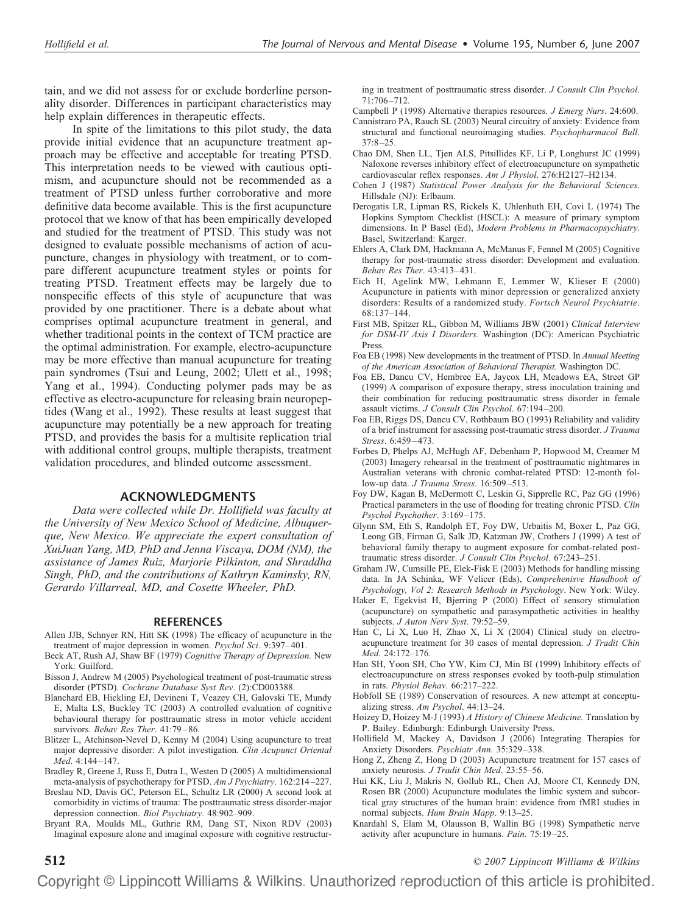tain, and we did not assess for or exclude borderline personality disorder. Differences in participant characteristics may help explain differences in therapeutic effects.

In spite of the limitations to this pilot study, the data provide initial evidence that an acupuncture treatment approach may be effective and acceptable for treating PTSD. This interpretation needs to be viewed with cautious optimism, and acupuncture should not be recommended as a treatment of PTSD unless further corroborative and more definitive data become available. This is the first acupuncture protocol that we know of that has been empirically developed and studied for the treatment of PTSD. This study was not designed to evaluate possible mechanisms of action of acupuncture, changes in physiology with treatment, or to compare different acupuncture treatment styles or points for treating PTSD. Treatment effects may be largely due to nonspecific effects of this style of acupuncture that was provided by one practitioner. There is a debate about what comprises optimal acupuncture treatment in general, and whether traditional points in the context of TCM practice are the optimal administration. For example, electro-acupuncture may be more effective than manual acupuncture for treating pain syndromes (Tsui and Leung, 2002; Ulett et al., 1998; Yang et al., 1994). Conducting polymer pads may be as effective as electro-acupuncture for releasing brain neuropeptides (Wang et al., 1992). These results at least suggest that acupuncture may potentially be a new approach for treating PTSD, and provides the basis for a multisite replication trial with additional control groups, multiple therapists, treatment validation procedures, and blinded outcome assessment.

#### **ACKNOWLEDGMENTS**

*Data were collected while Dr. Hollifield was faculty at the University of New Mexico School of Medicine, Albuquerque, New Mexico. We appreciate the expert consultation of XuiJuan Yang, MD, PhD and Jenna Viscaya, DOM (NM), the assistance of James Ruiz, Marjorie Pilkinton, and Shraddha Singh, PhD, and the contributions of Kathryn Kaminsky, RN, Gerardo Villarreal, MD, and Cosette Wheeler, PhD.*

#### **REFERENCES**

- Allen JJB, Schnyer RN, Hitt SK (1998) The efficacy of acupuncture in the treatment of major depression in women. *Psychol Sci*. 9:397– 401.
- Beck AT, Rush AJ, Shaw BF (1979) *Cognitive Therapy of Depression.* New York: Guilford.
- Bisson J, Andrew M (2005) Psychological treatment of post-traumatic stress disorder (PTSD). *Cochrane Database Syst Rev*. (2):CD003388.
- Blanchard EB, Hickling EJ, Devineni T, Veazey CH, Galovski TE, Mundy E, Malta LS, Buckley TC (2003) A controlled evaluation of cognitive behavioural therapy for posttraumatic stress in motor vehicle accident survivors. *Behav Res Ther*. 41:79-86.
- Blitzer L, Atchinson-Nevel D, Kenny M (2004) Using acupuncture to treat major depressive disorder: A pilot investigation. *Clin Acupunct Oriental Med*. 4:144 –147.

Bradley R, Greene J, Russ E, Dutra L, Westen D (2005) A multidimensional meta-analysis of psychotherapy for PTSD. *Am J Psychiatry*. 162:214 –227.

- Breslau ND, Davis GC, Peterson EL, Schultz LR (2000) A second look at comorbidity in victims of trauma: The posttraumatic stress disorder-major depression connection. *Biol Psychiatry*. 48:902–909.
- Bryant RA, Moulds ML, Guthrie RM, Dang ST, Nixon RDV (2003) Imaginal exposure alone and imaginal exposure with cognitive restructur-

ing in treatment of posttraumatic stress disorder. *J Consult Clin Psychol*. 71:706 –712.

Campbell P (1998) Alternative therapies resources. *J Emerg Nurs*. 24:600.

Cannistraro PA, Rauch SL (2003) Neural circuitry of anxiety: Evidence from structural and functional neuroimaging studies. *Psychopharmacol Bull*.  $37:8 - 25$ .

- Chao DM, Shen LL, Tjen ALS, Pitsillides KF, Li P, Longhurst JC (1999) Naloxone reverses inhibitory effect of electroacupuncture on sympathetic cardiovascular reflex responses. *Am J Physiol*. 276:H2127–H2134.
- Cohen J (1987) *Statistical Power Analysis for the Behavioral Sciences*. Hillsdale (NJ): Erlbaum.
- Derogatis LR, Lipman RS, Rickels K, Uhlenhuth EH, Covi L (1974) The Hopkins Symptom Checklist (HSCL): A measure of primary symptom dimensions. In P Basel (Ed), *Modern Problems in Pharmacopsychiatry*. Basel, Switzerland: Karger.
- Ehlers A, Clark DM, Hackmann A, McManus F, Fennel M (2005) Cognitive therapy for post-traumatic stress disorder: Development and evaluation. *Behav Res Ther*. 43:413– 431.
- Eich H, Agelink MW, Lehmann E, Lemmer W, Klieser E (2000) Acupuncture in patients with minor depression or generalized anxiety disorders: Results of a randomized study. *Fortsch Neurol Psychiatrie*. 68:137–144.
- First MB, Spitzer RL, Gibbon M, Williams JBW (2001) *Clinical Interview for DSM-IV Axis I Disorders.* Washington (DC): American Psychiatric Press.
- Foa EB (1998) New developments in the treatment of PTSD. In *Annual Meeting of the American Association of Behavioral Therapist.* Washington DC.
- Foa EB, Dancu CV, Hembree EA, Jaycox LH, Meadows EA, Street GP (1999) A comparison of exposure therapy, stress inoculation training and their combination for reducing posttraumatic stress disorder in female assault victims. *J Consult Clin Psychol*. 67:194 –200.
- Foa EB, Riggs DS, Dancu CV, Rothbaum BO (1993) Reliability and validity of a brief instrument for assessing post-traumatic stress disorder. *J Trauma Stress*. 6:459 – 473.
- Forbes D, Phelps AJ, McHugh AF, Debenham P, Hopwood M, Creamer M (2003) Imagery rehearsal in the treatment of posttraumatic nightmares in Australian veterans with chronic combat-related PTSD: 12-month follow-up data. *J Trauma Stress*. 16:509 –513.
- Foy DW, Kagan B, McDermott C, Leskin G, Sipprelle RC, Paz GG (1996) Practical parameters in the use of flooding for treating chronic PTSD. *Clin Psychol Psychother*. 3:169 –175.
- Glynn SM, Eth S, Randolph ET, Foy DW, Urbaitis M, Boxer L, Paz GG, Leong GB, Firman G, Salk JD, Katzman JW, Crothers J (1999) A test of behavioral family therapy to augment exposure for combat-related posttraumatic stress disorder. *J Consult Clin Psychol*. 67:243–251.
- Graham JW, Cumsille PE, Elek-Fisk E (2003) Methods for handling missing data. In JA Schinka, WF Velicer (Eds), *Comprehenisve Handbook of Psychology, Vol 2: Research Methods in Psychology*. New York: Wiley.
- Haker E, Egekvist H, Bjerring P (2000) Effect of sensory stimulation (acupuncture) on sympathetic and parasympathetic activities in healthy subjects. *J Auton Nerv Syst*. 79:52–59.
- Han C, Li X, Luo H, Zhao X, Li X (2004) Clinical study on electroacupuncture treatment for 30 cases of mental depression. *J Tradit Chin Med*. 24:172–176.
- Han SH, Yoon SH, Cho YW, Kim CJ, Min BI (1999) Inhibitory effects of electroacupuncture on stress responses evoked by tooth-pulp stimulation in rats. *Physiol Behav*. 66:217–222.
- Hobfoll SE (1989) Conservation of resources. A new attempt at conceptualizing stress. *Am Psychol*. 44:13–24.
- Hoizey D, Hoizey M-J (1993) *A History of Chinese Medicine.* Translation by P. Bailey. Edinburgh: Edinburgh University Press.
- Hollifield M, Mackey A, Davidson J (2006) Integrating Therapies for Anxiety Disorders. *Psychiatr Ann*. 35:329 –338.
- Hong Z, Zheng Z, Hong D (2003) Acupuncture treatment for 157 cases of anxiety neurosis. *J Tradit Chin Med*. 23:55–56.
- Hui KK, Liu J, Makris N, Gollub RL, Chen AJ, Moore CI, Kennedy DN, Rosen BR (2000) Acupuncture modulates the limbic system and subcortical gray structures of the human brain: evidence from fMRI studies in normal subjects. *Hum Brain Mapp*. 9:13–25.
- Knardahl S, Elam M, Olausson B, Wallin BG (1998) Sympathetic nerve activity after acupuncture in humans. *Pain*. 75:19 –25.

**512** *© 2007 Lippincott Williams & Wilkins*